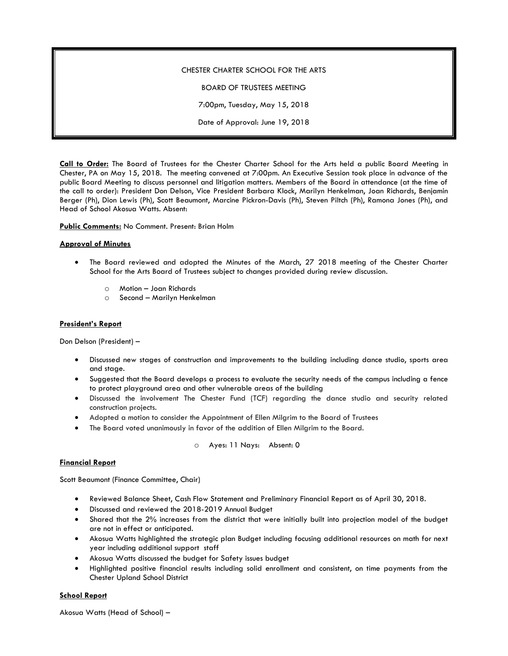# CHESTER CHARTER SCHOOL FOR THE ARTS BOARD OF TRUSTEES MEETING 7:00pm, Tuesday, May 15, 2018 Date of Approval: June 19, 2018

**Call to Order:** The Board of Trustees for the Chester Charter School for the Arts held a public Board Meeting in Chester, PA on May 15, 2018. The meeting convened at 7:00pm. An Executive Session took place in advance of the public Board Meeting to discuss personnel and litigation matters. Members of the Board in attendance (at the time of the call to order): President Don Delson, Vice President Barbara Klock, Marilyn Henkelman, Joan Richards, Benjamin Berger (Ph), Dion Lewis (Ph), Scott Beaumont, Marcine Pickron-Davis (Ph), Steven Piltch (Ph), Ramona Jones (Ph), and Head of School Akosua Watts. Absent:

**Public Comments:** No Comment. Present: Brian Holm

## **Approval of Minutes**

- The Board reviewed and adopted the Minutes of the March, 27 2018 meeting of the Chester Charter School for the Arts Board of Trustees subject to changes provided during review discussion.
	- o Motion Joan Richards
	- o Second Marilyn Henkelman

## **President's Report**

Don Delson (President) –

- Discussed new stages of construction and improvements to the building including dance studio, sports area and stage.
- Suggested that the Board develops a process to evaluate the security needs of the campus including a fence to protect playground area and other vulnerable areas of the building
- Discussed the involvement The Chester Fund (TCF) regarding the dance studio and security related construction projects.
- Adopted a motion to consider the Appointment of Ellen Milgrim to the Board of Trustees
- The Board voted unanimously in favor of the addition of Ellen Milgrim to the Board.

o Ayes: 11 Nays: Absent: 0

## **Financial Report**

Scott Beaumont (Finance Committee, Chair)

- Reviewed Balance Sheet, Cash Flow Statement and Preliminary Financial Report as of April 30, 2018.
- Discussed and reviewed the 2018-2019 Annual Budget
- Shared that the 2% increases from the district that were initially built into projection model of the budget are not in effect or anticipated.
- Akosua Watts highlighted the strategic plan Budget including focusing additional resources on math for next year including additional support staff
- Akosua Watts discussed the budget for Safety issues budget
- Highlighted positive financial results including solid enrollment and consistent, on time payments from the Chester Upland School District

## **School Report**

Akosua Watts (Head of School) –